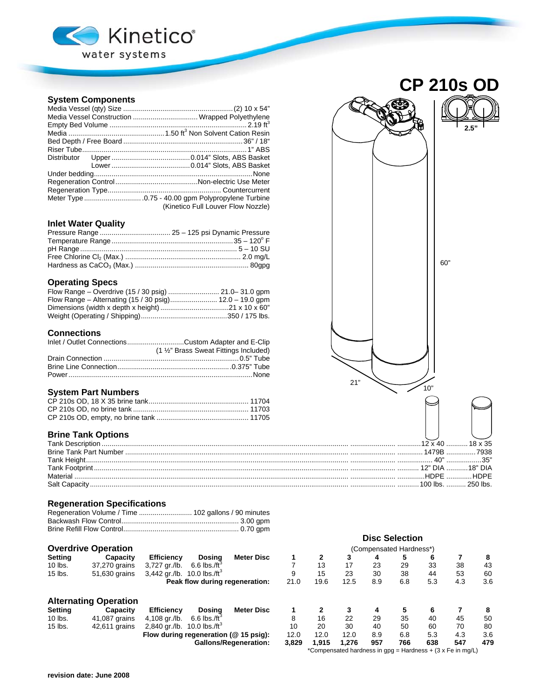

# **System Components**

| Media Vessel Construction  Wrapped Polyethylene |
|-------------------------------------------------|
|                                                 |
|                                                 |
|                                                 |
|                                                 |
|                                                 |
|                                                 |
|                                                 |
|                                                 |
|                                                 |
|                                                 |
| (Kinetico Full Louver Flow Nozzle)              |

## **Inlet Water Quality**

|  |  | 60" |
|--|--|-----|

## **Operating Specs**

## **Connections**

| Inlet / Outlet ConnectionsCustom Adapter and E-Clip |
|-----------------------------------------------------|
| (1 1/2" Brass Sweat Fittings Included)              |
|                                                     |
|                                                     |
|                                                     |

## **System Part Numbers**

# **Brine Tank Options**

## **Regeneration Specifications**

# **Overdrive Operation**

| Setting | Capacity      | <b>Efficiency</b>                         | Dosina                     | Meter Disc                     |
|---------|---------------|-------------------------------------------|----------------------------|--------------------------------|
| 10 lbs. | 37,270 grains | 3.727 ar./lb.                             | $6.6$ lbs./ft <sup>3</sup> |                                |
| 15 lbs. | 51,630 grains | 3,442 gr./lb. $10.0$ lbs./ft <sup>3</sup> |                            |                                |
|         |               |                                           |                            | Peak flow during regeneration: |

## **Alternating Operation**

| Settina   | Capacity      | <b>Efficiency</b>                         | Dosina                     | Meter Disc                               |  |
|-----------|---------------|-------------------------------------------|----------------------------|------------------------------------------|--|
| 10 lbs.   | 41,087 grains | 4.108 ar./lb.                             | $6.6$ lbs./ft <sup>3</sup> |                                          |  |
| $15$ lbs. | 42.611 grains | 2,840 gr./lb. $10.0$ lbs./ft <sup>3</sup> |                            |                                          |  |
|           |               |                                           |                            | Flow during regeneration ( $@$ 15 psig): |  |
|           |               |                                           |                            | <b>Gallons/Regeneration:</b>             |  |



**CP 210s OD** 

|                                |                                                            |                                           |                                       |                              |       |       |       |     | <b>Disc Selection</b>   |     |     |     |
|--------------------------------|------------------------------------------------------------|-------------------------------------------|---------------------------------------|------------------------------|-------|-------|-------|-----|-------------------------|-----|-----|-----|
|                                | <b>Overdrive Operation</b>                                 |                                           |                                       |                              |       |       |       |     | (Compensated Hardness*) |     |     |     |
| Setting                        | Capacity                                                   | <b>Efficiency</b>                         | Dosina                                | <b>Meter Disc</b>            |       |       | 3     | 4   | 5                       | 6   |     | 8   |
| 10 lbs.                        | 37,270 grains                                              | 3,727 gr./lb.                             | $6.6$ lbs./ft <sup>3</sup>            |                              |       | 13    | 17    | 23  | 29                      | 33  | 38  | 43  |
| 15 lbs.                        | 51,630 grains                                              | 3,442 gr./lb. $10.0$ lbs./ft <sup>3</sup> |                                       |                              | 9     | 15    | 23    | 30  | 38                      | 44  | 53  | 60  |
| Peak flow during regeneration: |                                                            |                                           | 21.0                                  | 19.6                         | 12.5  | 8.9   | 6.8   | 5.3 | 4.3                     | 3.6 |     |     |
|                                | <b>Alternating Operation</b>                               |                                           |                                       |                              |       |       |       |     |                         |     |     |     |
| Setting                        | Capacity                                                   | <b>Efficiency</b>                         | Dosina                                | <b>Meter Disc</b>            |       |       | 3     | 4   | 5                       | 6   |     | 8   |
| 10 lbs.                        | 41,087 grains                                              | 4.108 ar./lb.                             | $6.6$ lbs./ft $^{\circ}$              |                              | 8     | 16    | 22    | 29  | 35                      | 40  | 45  | 50  |
| 15 lbs.                        | 42,611 grains                                              | 2,840 gr./lb. $10.0$ lbs./ft <sup>3</sup> |                                       |                              | 10    | 20    | 30    | 40  | 50                      | 60  | 70  | 80  |
|                                |                                                            |                                           | Flow during regeneration (@ 15 psig): |                              | 12.0  | 12.0  | 12.0  | 8.9 | 6.8                     | 5.3 | 4.3 | 3.6 |
|                                |                                                            |                                           |                                       | <b>Gallons/Regeneration:</b> | 3,829 | 1.915 | 1.276 | 957 | 766                     | 638 | 547 | 479 |
|                                | *Compensated hardness in gpg = Hardness + (3 x Fe in mg/L) |                                           |                                       |                              |       |       |       |     |                         |     |     |     |